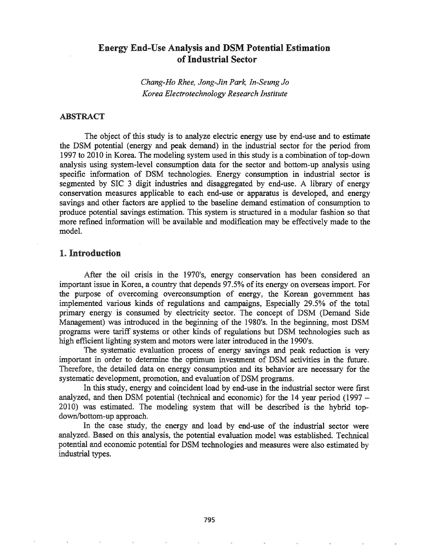# Energy End-Use Analysis and DSM Potential Estimation ofIndustrial Sector

*Chang-Ho Rhee, Jong-Jin Park, In-Seung Jo Korea Electrotechnology Research Institute*

# ABSTRACT

The object of this study is to analyze electric energy use by end-use and to estimate the DSM potential (energy and peak demand) in the industrial sector for the period from 1997 to 2010 in Korea. The modeling system used in this study is a combination of top-down analysis using system-level consumption data for the sector and bottom-up analysis using specific information of DSM technologies. Energy consumption in industrial sector is segmented by SIC 3 digit industries and disaggregated by end-use. A library of energy conservation measures applicable to each end-use or apparatus is developed, and energy savings and other factors are applied to the baseline demand estimation of consumption to produce potential savings estimation. This system is structured in a modular fashion so that more refined information will be available and modification may be effectively made to the model.

## 1. Introduction

After the oil crisis in the 1970's, energy conservation has been considered an important issue in Korea, a country that depends 97.5% of its energy on overseas import. For the purpose of overcoming overconsumption of energy, the Korean government has implemented various kinds of regulations and campaigns, Especially 29.5% of the total primary energy is consumed by electricity sector. The concept of DSM (Demand Side Management) was introduced in the beginning of the 1980's. In the beginning, most DSM programs were tariff systems or other kinds of regulations but DSM technologies such as high efficient lighting system and motors were later introduced in the 1990's.

The systematic evaluation process of energy savings and peak reduction is very important in order to determine the optimum investment of DSM activities in the future. Therefore, the detailed data on energy consumption and its behavior are necessary for the systematic development, promotion, and evaluation of DSM programs.

In this study, energy and coincident load by end-use in the industrial sector were first analyzed, and then DSM potential (technical and economic) for the 14 year period (1997 - 2010) was estimated. The modeling system that will be described is the hybrid topdown/bottom-up approach.

In the case study, the energy and load by end-use of the industrial sector were analyzed. Based on this analysis, the potential evaluation model was established. Technical potential and economic potential for DSM technologies and measures were also estimated by industrial types.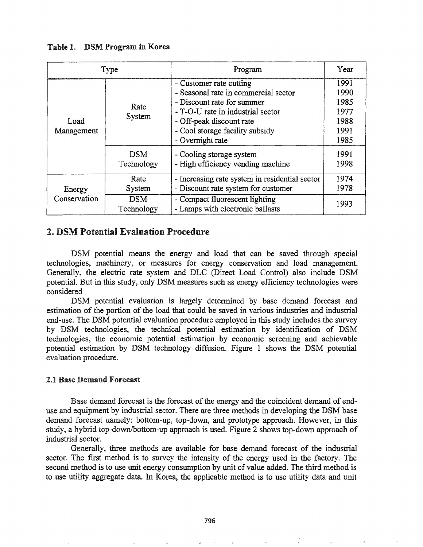Table 1. DSM Program in Korea

| Type               |                          | Program                                                                                                                                                                                                               | Year                                                 |
|--------------------|--------------------------|-----------------------------------------------------------------------------------------------------------------------------------------------------------------------------------------------------------------------|------------------------------------------------------|
| Load<br>Management | Rate<br>System           | - Customer rate cutting<br>- Seasonal rate in commercial sector<br>- Discount rate for summer<br>- T-O-U rate in industrial sector<br>- Off-peak discount rate<br>- Cool storage facility subsidy<br>- Overnight rate | 1991<br>1990<br>1985<br>1977<br>1988<br>1991<br>1985 |
|                    | <b>DSM</b><br>Technology | - Cooling storage system<br>- High efficiency vending machine                                                                                                                                                         | 1991<br>1998                                         |
| Energy             | Rate<br>System           | - Increasing rate system in residential sector<br>- Discount rate system for customer                                                                                                                                 | 1974<br>1978                                         |
| Conservation       | <b>DSM</b><br>Technology | - Compact fluorescent lighting<br>- Lamps with electronic ballasts                                                                                                                                                    | 1993                                                 |

# 2. DSM Potential Evaluation Procedure

DSM potential means the energy and load that can be saved through special technologies, machinery, or measures for energy conservation and load management.. Generally, the electric rate system and DLC (Direct Load Control) also include DSM potential. But in this study, only DSM measures such as energy efficiency technologies were considered

DSM potential evaluation is largely determined by base demand forecast and estimation of the portion of the load that could be saved in various industries and industrial end-use. The DSM potential evaluation procedure employed in this study includes the survey by DSM technologies, the technical potential estimation by identification of DSM technologies, the economic potential estimation by economic screening and achievable potential estimation by DSM technology diffusion. Figure 1 shows the DSM potential evaluation procedure.

### 2.1 Base Demand Forecast

Base demand forecast is the forecast of the energy and the coincident demand of enduse and equipment by industrial sector. There are three methods in developing the DSM base demand forecast namely: bottom-up, top-down, and prototype approach. However, in this study, a hybrid top-down/bottom-up approach is used. Figure 2 shows top-down approach of industrial sector.

Generally, three methods are available for base demand forecast of the industrial sector. The first method is to survey the intensity of the energy used in the factory. The second method is to use unit energy consumption by unit of value added. The third method is to use utility aggregate data. In Korea, the applicable method is to use utility data and unit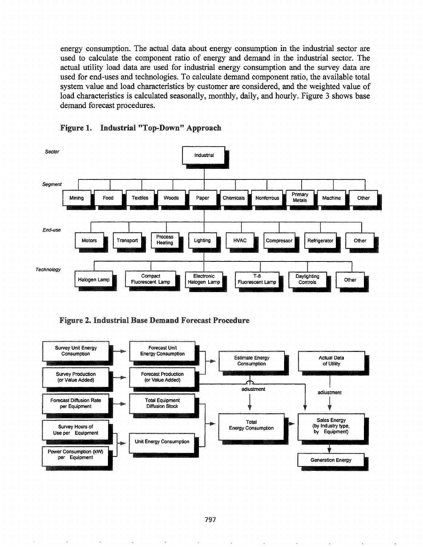energy consumption. The actual data about energy consumption in the industrial sector are used to calculate the component ratio of energy and demand in the industrial sector. The actual utility load data are used for industrial energy consumption and the survey data are used for end-uses and technologies. To calculate demand component ratio, the available total system value and load characteristics by customer are considered, and the weighted value of load characteristics is calculated seasonally, monthly, daily, and hourly. Figure 3 shows base demand forecast procedures.





Figure 2. Industrial Base Demand Forecast Procedure

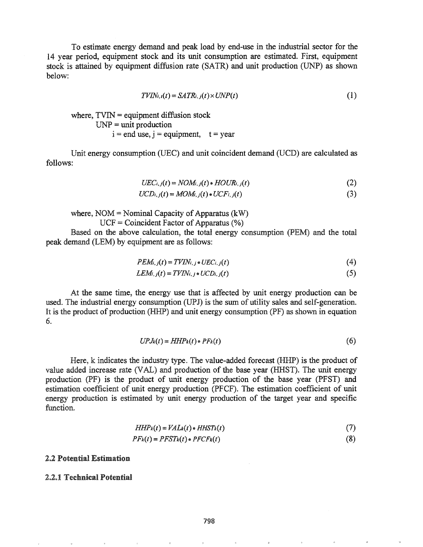To estimate energy demand and peak load by end-use in the industrial sector for the 14 year period, equipment stock and its unit consumption are estimated. First, equipment stock is attained by equipment diffusion rate (SATR) and unit production (UNP) as shown below:

$$
TVIN_{i,i}(t) = SATR_{i,j}(t) \times UNP(t)
$$
\n(1)

where,  $TVIN =$  equipment diffusion stock  $UNP = unit$  production  $i = end$  use,  $i = equipment$ ,  $t = year$ 

Unit energy consumption (UEC) and unit coincident demand (UCD) are calculated as follows:

$$
UEC_{i,j}(t) = NOM_{i,j}(t) * HOUR_{i,j}(t)
$$
\n
$$
(2)
$$

$$
UCD_{i,j}(t) = MOM_{i,j}(t) * UCF_{i,j}(t)
$$
\n
$$
(3)
$$

where,  $NOM = Nominal Capacity of Apparatus (kW)$  $UCF = Coincident Factor of Apparatus (%)$ 

Based on the above calculation, the total energy consumption (PEM) and the total peak demand (LEM) by equipment are as follows:

$$
PEM_{i,j}(t) = TVIN_{i,j} \bullet UEC_{i,j}(t) \tag{4}
$$

$$
LEMi, j(t) = TVINi, j * UCDi, j(t)
$$
\n
$$
(5)
$$

At the same time, the energy use that is affected by unit energy production can be used. The industrial energy consumption (UPJ) is the sum of utility sales and self-generation. It is the product of production (HHP) and unit energy consumption (PF) as shown in equation 6.

$$
UPJ_k(t) = HHP_k(t) \cdot PF_k(t) \tag{6}
$$

Here, k indicates the industry type. The value-added forecast (HHP) is the product of value added increase rate (VAL) and production of the base year (HHST). The unit energy production (PF) is the product of unit energy production of the base year (PFST) and estimation coefficient of unit energy production (PFCF). The estimation coefficient of unit energy production is estimated by unit energy production of the target year and specific function.

$$
HHP_k(t) = VAL_k(t) \bullet HHST_k(t)
$$
\n(7)

$$
PF_k(t) = PFST_k(t) \cdot PFCF_k(t)
$$
 (8)

### 2.2 Potential Estimation

### 2.2.1 Technical Potential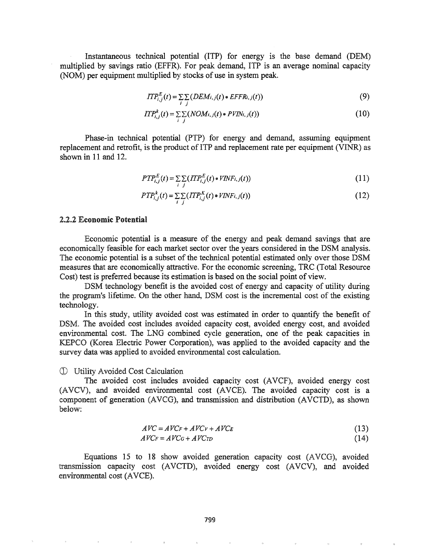Instantaneous technical potential (ITP) for energy is the base demand (DEM) multiplied by savings ratio (EFFR). For peak demand, ITP is an average nominal capacity (NOM) per equipment multiplied by stocks of use in system peak.

$$
ITP_{i,j}^{E}(t) = \sum_{i} \sum_{j} (DEM_{i,j}(t) \cdot EFFR_{i,j}(t))
$$
\n(9)

$$
ITP_{i,j}^k(t) = \sum_{i} \sum_{j} (NOM_{i,j}(t) \cdot PVIN_{i,j}(t))
$$
\n(10)

Phase-in technical potential (PTP) for energy and demand, assuming equipment replacement and retrofit, is the product of ITP and replacement rate per equipment (VINR) as shown in 11 and 12.

$$
PTP_{i,j}^{E}(t) = \sum_{i} \sum_{j} (ITP_{i,j}^{E}(t) \cdot \text{VINF}_{i,j}(t))
$$
\n(11)

$$
PTP_{i,j}^{k}(t) = \sum_{i} \sum_{j} (ITP_{i,j}^{K}(t) \bullet VINF_{i,j}(t))
$$
\n(12)

### 2.2.2 Economic Potential

Economic potential is a measure of the energy and peak demand savings that are economically feasible for each market sector over the years considered in the DSM analysis. The economic potential is a subset of the technical potential estimated only over those DSM measures that are economically attractive. For the economic screening, TRC (Total Resource Cost) test is preferred because its estimation is based on the social point of view.

DSM technology benefit is the avoided cost of energy and capacity of utility during the program's lifetime. On the other hand, DSM cost is the incremental cost of the existing technology.

In this study, utility avoided cost was estimated in order to quantify the benefit of DSM. The avoided cost includes avoided capacity cost, avoided energy cost, and avoided environmental cost. The LNG combined cycle generation, one of the peak capacities in KEPCO (Korea Electric Power Corporation), was applied to the avoided capacity and the survey data was applied to avoided environmental cost calculation.

#### CD Avoided Cost Calculation

The avoided cost includes avoided capacity cost (AVCF), avoided energy cost (AVCV), and avoided environmental cost (AVCE). The avoided capacity cost is a component of generation (AVCG), and transmission and distribution (AVCTD), as shown below:

$$
AVC = AVC_F + AVC_V + AVC_E
$$
\n(13)

$$
AVC_F = AVC_G + AVC_{TD} \tag{14}
$$

Equations 15 to 18 show avoided generation capacity cost (AVCG), avoided transmission capacity cost (AVCTD), avoided energy cost (AVCV), and avoided environmental cost (AVCE)..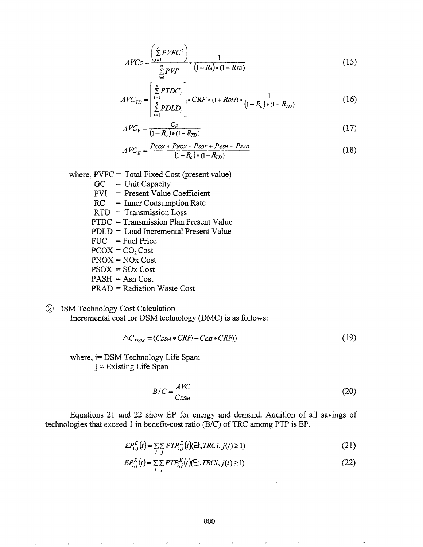$$
AVCG = \frac{\left(\sum_{t=1}^{n} PVFC^t\right)}{\sum_{t=1}^{n} PVI^t} \cdot \frac{1}{(1 - R_c) \cdot (1 - RTD)}
$$
(15)

$$
AVC_{TD} = \left[ \frac{\sum_{t=1}^{n} P T D C_t}{\sum_{t=1}^{n} P D L D_t} \right] \bullet CRF \bullet (1 + Row) \bullet \frac{1}{(1 - R_c) \bullet (1 - R_{TD})} \tag{16}
$$

$$
AVC_V = \frac{C_F}{(1 - R_c) \cdot (1 - R_{TD})}
$$
\n
$$
(17)
$$

$$
AVC_E = \frac{P\cos + P\cos + P\cos + P\sin + P\cos}{(1 - R_c) \cdot (1 - R_{TD})}
$$
(18)

where, PVFC = Total Fixed Cost (present value)

- $GC = Unit Capacity$
- PVI = Present Value Coefficient
- RC = Inner Consumption Rate
- RID = Transmission Loss
- $PTDC = Transmission Plan Present Value$
- PDLD = Load Incremental Present Value
- $FUC = Fuel Price$
- $PCOX = CO<sub>2</sub>Cost$
- PNOX = NOx Cost
- $PSOX = SOx Cost$
- $PASH = Ash Cost$

PRAD = Radiation Waste Cost

# (2) DSM Technology Cost Calculation

Incremental cost for DSM technology (DMC) is as follows:

$$
\triangle C_{DSM} = (C_{DSM} \bullet CRF_i - C_{EX} \bullet CRF_j) \tag{19}
$$

where, i= DSM Technology Life Span; j =Existing Life Span

$$
B/C = \frac{AVC}{C_{DSM}}
$$
 (20)

Equations 21 and 22 show EP for energy and demand. Addition of all savings of technologies that exceed 1 in benefit-cost ratio (B/C) of TRC among PTP is EP.

$$
EP_{i,j}^{E}(t) = \sum_{i} \sum_{j} PTP_{i,j}^{E}(t) (\exists^{j}, \text{TRCi}, j(t) \ge 1)
$$
\n(21)

$$
EP_{i,j}^{K}(t) = \sum_{i} \sum_{j} PTP_{i,j}^{K}(t) (\exists^{j}, \text{TRCi}, j(t) \ge 1)
$$
\n(22)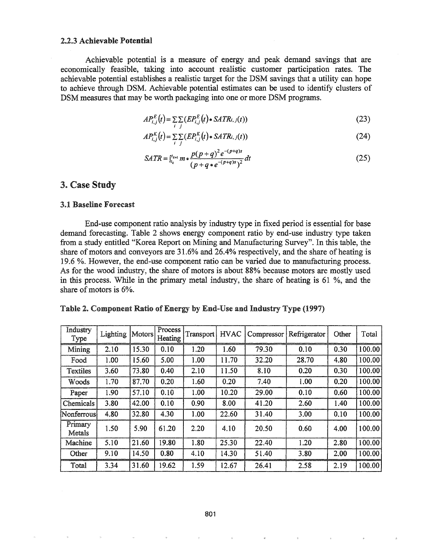#### 2.2.3 Achievable Potential

Achievable potential is a measure of energy and peak demand savings that are economically feasible, taking into account realistic customer participation rates. The achievable potential establishes a realistic target for the DSM savings that a utility can hope to achieve through DSM. Achievable potential estimates can be used to identify clusters of DSM measures that may be worth packaging into one or more DSM programs.

$$
AP_{i,j}^{E}(t) = \sum_{i} \sum_{j} \left( EP_{i,j}^{E}(t) \bullet SATR_{i,j}(t) \right)
$$
 (23)

$$
AP_{i,j}^{K}(t) = \sum_{i} \sum_{j} \left( EP_{i,j}^{K}(t) \cdot SATR_{i,j}(t) \right) \tag{24}
$$

$$
SATR = \int_{t_k}^{t_{k+1}} m \cdot \frac{p(p+q)^2 e^{-(p+q)s}}{(p+q \cdot e^{-(p+q)s})^2} dt
$$
 (25)

# 3. Case Study

### 3&1 Baseline Forecast

End-use component ratio analysis by industry type in fixed period is essential for base demand forecasting. Table 2 shows energy component ratio by end-use industry type taken from a study entitled "Korea Report on Mining and Manufacturing Survey". In this table, the share of motors and conveyors are  $31.6\%$  and  $26.4\%$  respectively, and the share of heating is 19.6 %. However, the end-use component ratio can be varied due to manufacturing process. As for the wood industry, the share of motors is about 88% because motors are mostly used in this process. While in the primary metal industry, the share of heating is 61 %, and the share of motors is 6%.

| Table 2. Component Ratio of Energy by End-Use and Industry Type (1997) |  |  |  |
|------------------------------------------------------------------------|--|--|--|
|                                                                        |  |  |  |

| Industry<br>Type  | Lighting | Motors | Process<br>Heating | Transport | <b>HVAC</b> | Compressor | Refrigerator | Other | Total  |
|-------------------|----------|--------|--------------------|-----------|-------------|------------|--------------|-------|--------|
| Mining            | 2.10     | 15.30  | 0.10               | 1.20      | 1.60        | 79.30      | 0.10         | 0.30  | 100.00 |
| Food              | 1.00     | 15.60  | 5.00               | 1.00      | 11.70       | 32.20      | 28.70        | 4.80  | 100.00 |
| Textiles          | 3.60     | 73.80  | 0.40               | 2.10      | 11.50       | 8.10       | 0.20         | 0.30  | 100.00 |
| Woods             | 1.70     | 87.70  | 0.20               | 1.60      | 0.20        | 7.40       | 1.00         | 0.20  | 100.00 |
| Paper             | 1.90     | 57.10  | 0.10               | 1.00      | 10.20       | 29.00      | 0.10         | 0.60  | 100.00 |
| Chemicals         | 3.80     | 42.00  | 0.10               | 0.90      | 8.00        | 41.20      | 2.60         | 1.40  | 100.00 |
| Nonferrous        | 4.80     | 32.80  | 4.30               | 1.00      | 22.60       | 31.40      | 3.00         | 0.10  | 100.00 |
| Primary<br>Metals | 1.50     | 5.90   | 61.20              | 2.20      | 4.10        | 20.50      | 0.60         | 4.00  | 100.00 |
| Machine           | 5.10     | 21.60  | 19.80              | 1.80      | 25.30       | 22.40      | 1.20         | 2.80  | 100.00 |
| Other             | 9.10     | 14.50  | 0.80               | 4.10      | 14.30       | 51.40      | 3.80         | 2.00  | 100.00 |
| Total             | 3.34     | 31.60  | 19.62              | 1.59      | 12.67       | 26.41      | 2.58         | 2.19  | 100.00 |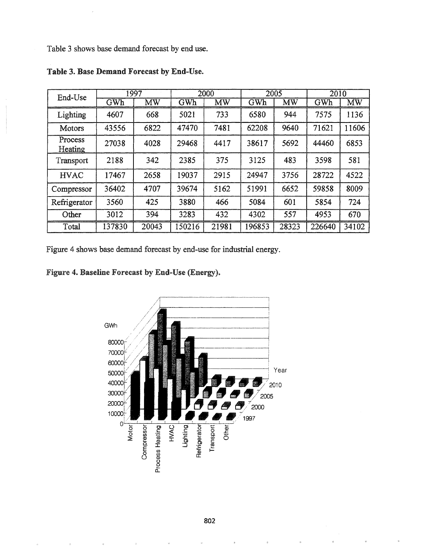Table 3 shows base demand forecast by end use.

| End-Use            | 1997   |       | 2000   |           | 2005   |       | $\overline{2010}$ |       |
|--------------------|--------|-------|--------|-----------|--------|-------|-------------------|-------|
|                    | GWh    | MW    | GWh    | <b>MW</b> | GWh    | MW    | GWh               | MW    |
| Lighting           | 4607   | 668   | 5021   | 733       | 6580   | 944   | 7575              | 1136  |
| Motors             | 43556  | 6822  | 47470  | 7481      | 62208  | 9640  | 71621             | 11606 |
| Process<br>Heating | 27038  | 4028  | 29468  | 4417      | 38617  | 5692  | 44460             | 6853  |
| Transport          | 2188   | 342   | 2385   | 375       | 3125   | 483   | 3598              | 581   |
| <b>HVAC</b>        | 17467  | 2658  | 19037  | 2915      | 24947  | 3756  | 28722             | 4522  |
| Compressor         | 36402  | 4707  | 39674  | 5162      | 51991  | 6652  | 59858             | 8009  |
| Refrigerator       | 3560   | 425   | 3880   | 466       | 5084   | 601   | 5854              | 724   |
| Other              | 3012   | 394   | 3283   | 432       | 4302   | 557   | 4953              | 670   |
| Total              | 137830 | 20043 | 150216 | 21981     | 196853 | 28323 | 226640            | 34102 |

Table 3. Base Demand Forecast by End-Use.

Figure 4 shows base demand forecast by end-use for industrial energy.

Figure 4. Baseline Forecast by End-Use (Energy).

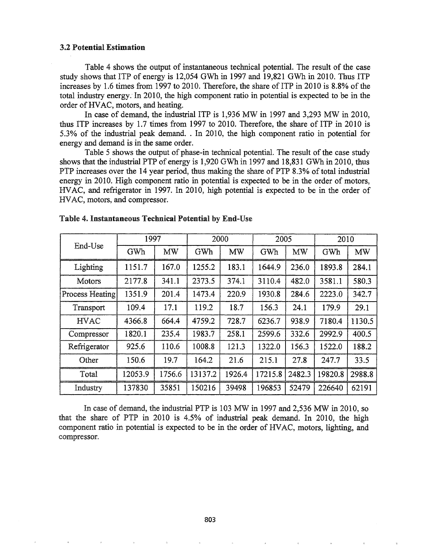### 3.2 Potential Estimation

Table 4 shows the output of instantaneous technical potential. The result of the case study shows that ITP of energy is 12,054 GWh in 1997 and 19,821 GWh in 2010. Thus ITP increases by 1.6 times from 1997 to 2010. Therefore, the share of ITP in 2010 is  $8.8\%$  of the total industry energy; In 2010, the high component ratio in potential is expected to be in the order of HVAC, motors, and heating.

In case of demand, the industrial ITP is 1,936 MW in 1997 and 3,293 MW in 2010, thus ITP increases by 1.7 times from 1997 to 2010. Therefore, the share of ITP in 2010 is 5.3% of the industrial peak demand.. In 2010, the high component ratio in potential for energy and demand is in the same order.

Table 5 shows the output of phase-in technical potential. The result of the case study shows that the industrial PTP of energy is 1,920 GWh in 1997 and 18,831 GWh in 2010, thus PTP increases over the 14 year period, thus making the share of PTP 8.3% of total industrial energy in 2010. High component ratio in potential is expected to be in the order of motors, HVAC, and refrigerator in 1997. In 2010, high potential is expected to be in the order of HVAC, motors, and compressor..

| End-Use         | 1997    |           | 2000    |           | 2005    |           | 2010    |           |
|-----------------|---------|-----------|---------|-----------|---------|-----------|---------|-----------|
|                 | GWh     | <b>MW</b> | GWh     | <b>MW</b> | GWh     | <b>MW</b> | GWh     | <b>MW</b> |
| Lighting        | 1151.7  | 167.0     | 1255.2  | 183.1     | 1644.9  | 236.0     | 1893.8  | 284.1     |
| Motors          | 2177.8  | 341.1     | 2373.5  | 374.1     | 3110.4  | 482.0     | 3581.1  | 580.3     |
| Process Heating | 1351.9  | 201.4     | 1473.4  | 220.9     | 1930.8  | 284.6     | 2223.0  | 342.7     |
| Transport       | 109.4   | 17.1      | 119.2   | 18.7      | 156.3   | 24.1      | 179.9   | 29.1      |
| <b>HVAC</b>     | 4366.8  | 664.4     | 4759.2  | 728.7     | 6236.7  | 938.9     | 7180.4  | 1130.5    |
| Compressor      | 1820.1  | 235.4     | 1983.7  | 258.1     | 2599.6  | 332.6     | 2992.9  | 400.5     |
| Refrigerator    | 925.6   | 110.6     | 1008.8  | 121.3     | 1322.0  | 156.3     | 1522.0  | 188.2     |
| Other           | 150.6   | 19.7      | 164.2   | 21.6      | 215.1   | 27.8      | 247.7   | 33.5      |
| Total           | 12053.9 | 1756.6    | 13137.2 | 1926.4    | 17215.8 | 2482.3    | 19820.8 | 2988.8    |
| Industry        | 137830  | 35851     | 150216  | 39498     | 196853  | 52479     | 226640  | 62191     |

### Table 4. Instantaneous Technical Potential by End-Use

In case of demand, the industrial PTP is 103 MW in 1997 and 2,536 MW in 2010, so the share of PTP in 2010 is 4.5% of industrial peak demand. In 2010, the high component ratio in potential is expected to be in the order of HVAC, motors, lighting, and compressor..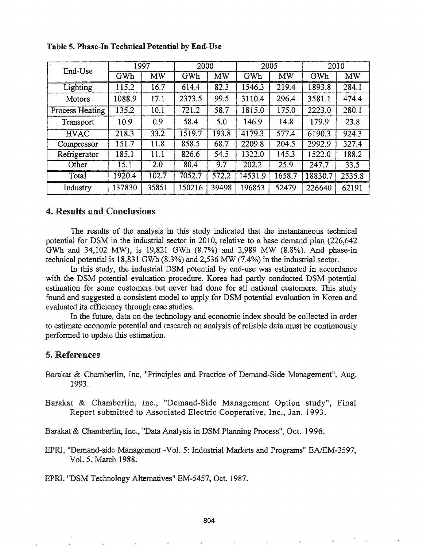| End-Use                | 1997   |                        | 2000   |                        | 2005    |       | 2010    |        |
|------------------------|--------|------------------------|--------|------------------------|---------|-------|---------|--------|
|                        | GWh    | $\overline{\text{MW}}$ | GWh    | $\overline{\text{MW}}$ | GWh     | MW    | GWh     | MW     |
| Lighting               | 115.2  | 16.7                   | 614.4  | 82.3                   | 1546.3  | 219.4 | 1893.8  | 284.1  |
| Motors                 | 1088.9 | 17.1                   | 2373.5 | 99.5                   | 3110.4  | 296.4 | 3581.1  | 474.4  |
| <b>Process Heating</b> | 135.2  | 10.1                   | 721.2  | 58.7                   | 1815.0  | 175.0 | 2223.0  | 280.1  |
| Transport              | 10.9   | 0.9                    | 58.4   | 5.0                    | 146.9   | 14.8  | 179.9   | 23.8   |
| <b>HVAC</b>            | 218.3  | 33.2                   | 1519.7 | 193.8                  | 4179.3  | 577.4 | 6190.3  | 924.3  |
| Compressor             | 151.7  | 11.8                   | 858.5  | 68.7                   | 2209.8  | 204.5 | 2992.9  | 327.4  |
| Refrigerator           | 185.1  | 11.1                   | 826.6  | 54.5                   | 1322.0  | 145.3 | 1522.0  | 188.2  |
| Other                  | 15.1   | 2.0                    | 80.4   | 9.7                    | 202.2   | 25.9  | 247.7   | 33.5   |
| Total                  | 1920.4 | 02.7                   | 7052.7 | 572.2                  | 14531.9 | 658.7 | 18830.7 | 2535.8 |
| Industry               | 137830 | 35851                  | 150216 | 39498                  | 196853  | 52479 | 226640  | 62191  |

Table 5. Phase-In Technical Potential by End-Use

# 4. Results and Conclusions

The results of the analysis in this study indicated that the instantaneous technical potential for DSM in the industrial sector in 2010, relative to a base demand plan (226,642 GWh and 34,102 MW), is 19,821 GWh (8.7%) and 2,989 MW (8.8%). And phase-in technical potential is 18,831 GWh (8.3%) and 2,536 MW (7.4%) in the industrial sector.

In this study, the industrial DSM potential by end-use was estimated in accordance with the DSM potential evaluation procedure. Korea had partly conducted DSM potential estimation for some customers but never had done for all national customers. This study found and suggested a consistent model to apply for DSM potential evaluation in Korea and evaluated its efficiency through case studies.

In the future, data on the technology and economic index should be collected in order to estimate economic potential and research on analysis ofreliable data must be continuously performed to update this estimation.

### 5. References

- Barakat & Chamberlin, Inc, "Principles and Practice of Demand-Side Management", Aug. 1993.
- Barakat & Chamberlin, Inc., "Demand-Side Management Option study", Final Report submitted to Associated Electric Cooperative, Inc., Jan. 1993.

Barakat & Chamberlin, Inc., "Data Analysis in DSM Planning Process", Oct. 1996.

"Demand-side Management -Vol. 5: Industrial Markets and Programs" EA/EM-3597, Vol. 5, March 1988.

EPRI, "DSM Technology Alternatives" EM-5457, Oct. 1987.